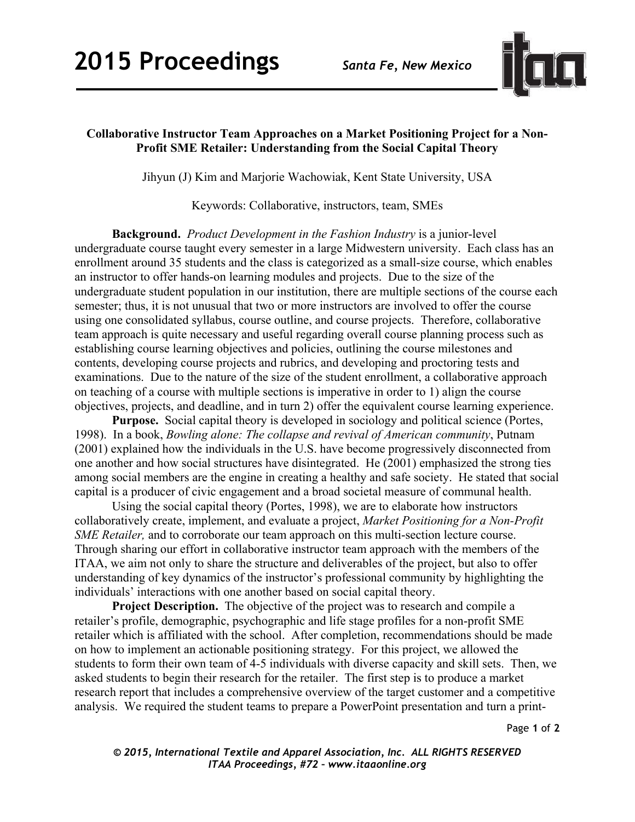

## **Collaborative Instructor Team Approaches on a Market Positioning Project for a Non-Profit SME Retailer: Understanding from the Social Capital Theory**

Jihyun (J) Kim and Marjorie Wachowiak, Kent State University, USA

Keywords: Collaborative, instructors, team, SMEs

**Background.** *Product Development in the Fashion Industry* is a junior-level undergraduate course taught every semester in a large Midwestern university. Each class has an enrollment around 35 students and the class is categorized as a small-size course, which enables an instructor to offer hands-on learning modules and projects. Due to the size of the undergraduate student population in our institution, there are multiple sections of the course each semester; thus, it is not unusual that two or more instructors are involved to offer the course using one consolidated syllabus, course outline, and course projects. Therefore, collaborative team approach is quite necessary and useful regarding overall course planning process such as establishing course learning objectives and policies, outlining the course milestones and contents, developing course projects and rubrics, and developing and proctoring tests and examinations. Due to the nature of the size of the student enrollment, a collaborative approach on teaching of a course with multiple sections is imperative in order to 1) align the course objectives, projects, and deadline, and in turn 2) offer the equivalent course learning experience.

**Purpose.** Social capital theory is developed in sociology and political science (Portes, 1998). In a book, *Bowling alone: The collapse and revival of American community*, Putnam (2001) explained how the individuals in the U.S. have become progressively disconnected from one another and how social structures have disintegrated. He (2001) emphasized the strong ties among social members are the engine in creating a healthy and safe society. He stated that social capital is a producer of civic engagement and a broad societal measure of communal health.

Using the social capital theory (Portes, 1998), we are to elaborate how instructors collaboratively create, implement, and evaluate a project, *Market Positioning for a Non-Profit SME Retailer*, and to corroborate our team approach on this multi-section lecture course. Through sharing our effort in collaborative instructor team approach with the members of the ITAA, we aim not only to share the structure and deliverables of the project, but also to offer understanding of key dynamics of the instructor's professional community by highlighting the individuals' interactions with one another based on social capital theory.

**Project Description.** The objective of the project was to research and compile a retailer's profile, demographic, psychographic and life stage profiles for a non-profit SME retailer which is affiliated with the school. After completion, recommendations should be made on how to implement an actionable positioning strategy. For this project, we allowed the students to form their own team of 4-5 individuals with diverse capacity and skill sets. Then, we asked students to begin their research for the retailer. The first step is to produce a market research report that includes a comprehensive overview of the target customer and a competitive analysis. We required the student teams to prepare a PowerPoint presentation and turn a print-

Page **1** of **2** 

*© 2015, International Textile and Apparel Association, Inc. ALL RIGHTS RESERVED ITAA Proceedings, #72 – www.itaaonline.org*